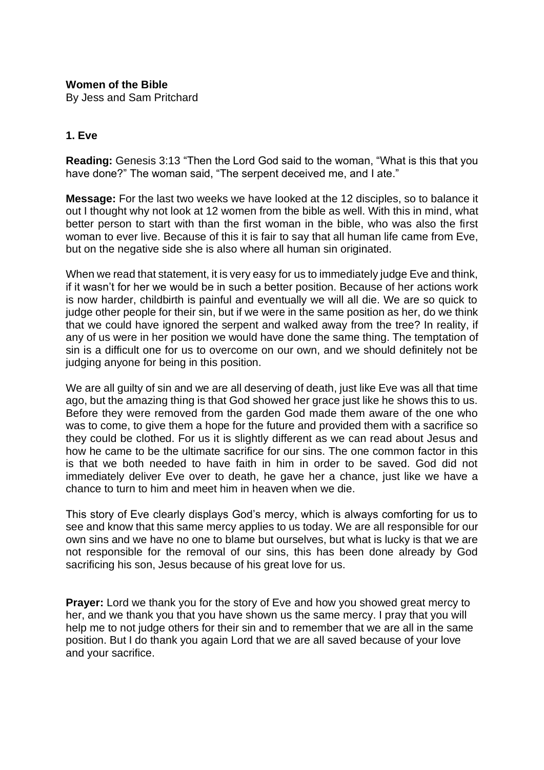## **Women of the Bible**

By Jess and Sam Pritchard

## **1. Eve**

**Reading:** Genesis 3:13 "Then the Lord God said to the woman, "What is this that you have done?" The woman said, "The serpent deceived me, and I ate."

**Message:** For the last two weeks we have looked at the 12 disciples, so to balance it out I thought why not look at 12 women from the bible as well. With this in mind, what better person to start with than the first woman in the bible, who was also the first woman to ever live. Because of this it is fair to say that all human life came from Eve, but on the negative side she is also where all human sin originated.

When we read that statement, it is very easy for us to immediately judge Eve and think, if it wasn't for her we would be in such a better position. Because of her actions work is now harder, childbirth is painful and eventually we will all die. We are so quick to judge other people for their sin, but if we were in the same position as her, do we think that we could have ignored the serpent and walked away from the tree? In reality, if any of us were in her position we would have done the same thing. The temptation of sin is a difficult one for us to overcome on our own, and we should definitely not be judging anyone for being in this position.

We are all guilty of sin and we are all deserving of death, just like Eve was all that time ago, but the amazing thing is that God showed her grace just like he shows this to us. Before they were removed from the garden God made them aware of the one who was to come, to give them a hope for the future and provided them with a sacrifice so they could be clothed. For us it is slightly different as we can read about Jesus and how he came to be the ultimate sacrifice for our sins. The one common factor in this is that we both needed to have faith in him in order to be saved. God did not immediately deliver Eve over to death, he gave her a chance, just like we have a chance to turn to him and meet him in heaven when we die.

This story of Eve clearly displays God's mercy, which is always comforting for us to see and know that this same mercy applies to us today. We are all responsible for our own sins and we have no one to blame but ourselves, but what is lucky is that we are not responsible for the removal of our sins, this has been done already by God sacrificing his son, Jesus because of his great love for us.

**Prayer:** Lord we thank you for the story of Eve and how you showed great mercy to her, and we thank you that you have shown us the same mercy. I pray that you will help me to not judge others for their sin and to remember that we are all in the same position. But I do thank you again Lord that we are all saved because of your love and your sacrifice.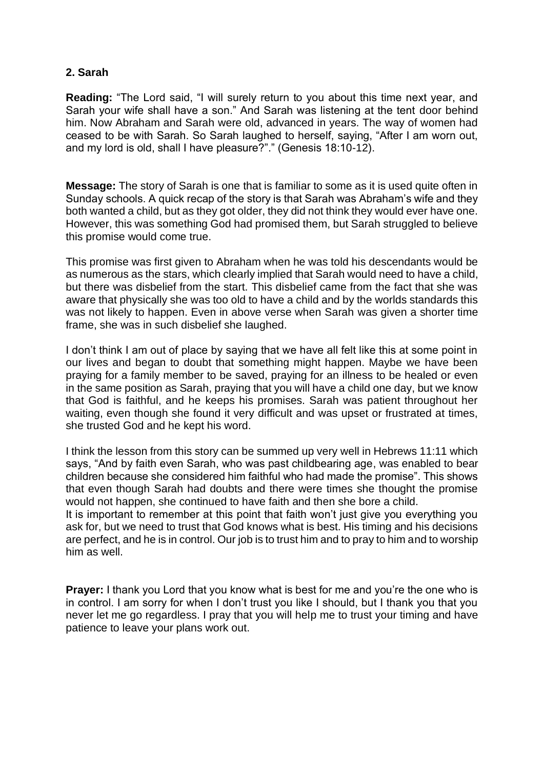# **2. Sarah**

**Reading:** "The Lord said, "I will surely return to you about this time next year, and Sarah your wife shall have a son." And Sarah was listening at the tent door behind him. Now Abraham and Sarah were old, advanced in years. The way of women had ceased to be with Sarah. So Sarah laughed to herself, saying, "After I am worn out, and my lord is old, shall I have pleasure?"." (Genesis 18:10-12).

**Message:** The story of Sarah is one that is familiar to some as it is used quite often in Sunday schools. A quick recap of the story is that Sarah was Abraham's wife and they both wanted a child, but as they got older, they did not think they would ever have one. However, this was something God had promised them, but Sarah struggled to believe this promise would come true.

This promise was first given to Abraham when he was told his descendants would be as numerous as the stars, which clearly implied that Sarah would need to have a child, but there was disbelief from the start. This disbelief came from the fact that she was aware that physically she was too old to have a child and by the worlds standards this was not likely to happen. Even in above verse when Sarah was given a shorter time frame, she was in such disbelief she laughed.

I don't think I am out of place by saying that we have all felt like this at some point in our lives and began to doubt that something might happen. Maybe we have been praying for a family member to be saved, praying for an illness to be healed or even in the same position as Sarah, praying that you will have a child one day, but we know that God is faithful, and he keeps his promises. Sarah was patient throughout her waiting, even though she found it very difficult and was upset or frustrated at times, she trusted God and he kept his word.

I think the lesson from this story can be summed up very well in Hebrews 11:11 which says, "And by faith even Sarah, who was past childbearing age, was enabled to bear children because she considered him faithful who had made the promise". This shows that even though Sarah had doubts and there were times she thought the promise would not happen, she continued to have faith and then she bore a child.

It is important to remember at this point that faith won't just give you everything you ask for, but we need to trust that God knows what is best. His timing and his decisions are perfect, and he is in control. Our job is to trust him and to pray to him and to worship him as well.

**Prayer:** I thank you Lord that you know what is best for me and you're the one who is in control. I am sorry for when I don't trust you like I should, but I thank you that you never let me go regardless. I pray that you will help me to trust your timing and have patience to leave your plans work out.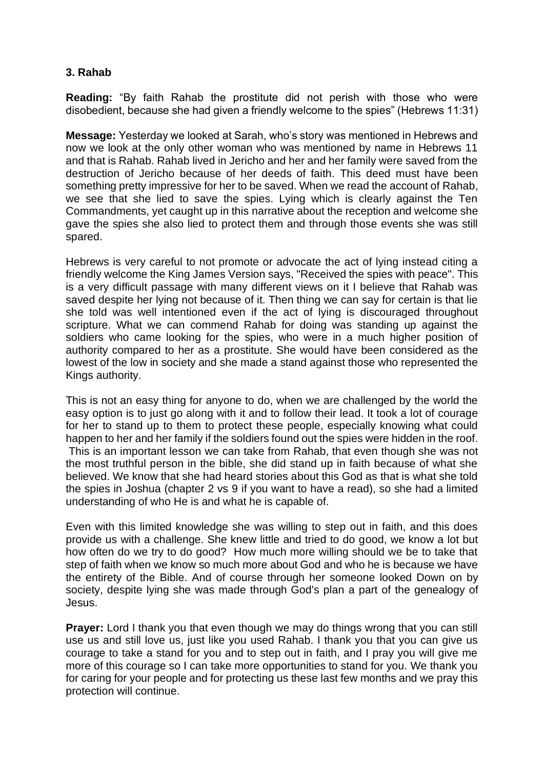# **3. Rahab**

**Reading:** "By faith Rahab the prostitute did not perish with those who were disobedient, because she had given a friendly welcome to the spies" (Hebrews 11:31)

**Message:** Yesterday we looked at Sarah, who's story was mentioned in Hebrews and now we look at the only other woman who was mentioned by name in Hebrews 11 and that is Rahab. Rahab lived in Jericho and her and her family were saved from the destruction of Jericho because of her deeds of faith. This deed must have been something pretty impressive for her to be saved. When we read the account of Rahab, we see that she lied to save the spies. Lying which is clearly against the Ten Commandments, yet caught up in this narrative about the reception and welcome she gave the spies she also lied to protect them and through those events she was still spared.

Hebrews is very careful to not promote or advocate the act of lying instead citing a friendly welcome the King James Version says, "Received the spies with peace". This is a very difficult passage with many different views on it I believe that Rahab was saved despite her lying not because of it. Then thing we can say for certain is that lie she told was well intentioned even if the act of lying is discouraged throughout scripture. What we can commend Rahab for doing was standing up against the soldiers who came looking for the spies, who were in a much higher position of authority compared to her as a prostitute. She would have been considered as the lowest of the low in society and she made a stand against those who represented the Kings authority.

This is not an easy thing for anyone to do, when we are challenged by the world the easy option is to just go along with it and to follow their lead. It took a lot of courage for her to stand up to them to protect these people, especially knowing what could happen to her and her family if the soldiers found out the spies were hidden in the roof. This is an important lesson we can take from Rahab, that even though she was not the most truthful person in the bible, she did stand up in faith because of what she believed. We know that she had heard stories about this God as that is what she told the spies in Joshua (chapter 2 vs 9 if you want to have a read), so she had a limited understanding of who He is and what he is capable of.

Even with this limited knowledge she was willing to step out in faith, and this does provide us with a challenge. She knew little and tried to do good, we know a lot but how often do we try to do good? How much more willing should we be to take that step of faith when we know so much more about God and who he is because we have the entirety of the Bible. And of course through her someone looked Down on by society, despite lying she was made through God's plan a part of the genealogy of Jesus.

**Prayer:** Lord I thank you that even though we may do things wrong that you can still use us and still love us, just like you used Rahab. I thank you that you can give us courage to take a stand for you and to step out in faith, and I pray you will give me more of this courage so I can take more opportunities to stand for you. We thank you for caring for your people and for protecting us these last few months and we pray this protection will continue.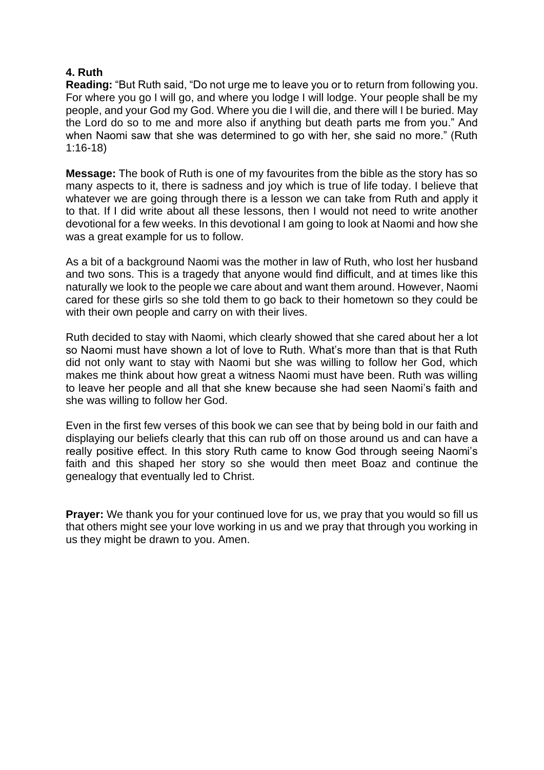## **4. Ruth**

**Reading:** "But Ruth said, "Do not urge me to leave you or to return from following you. For where you go I will go, and where you lodge I will lodge. Your people shall be my people, and your God my God. Where you die I will die, and there will I be buried. May the Lord do so to me and more also if anything but death parts me from you." And when Naomi saw that she was determined to go with her, she said no more." (Ruth 1:16-18)

**Message:** The book of Ruth is one of my favourites from the bible as the story has so many aspects to it, there is sadness and joy which is true of life today. I believe that whatever we are going through there is a lesson we can take from Ruth and apply it to that. If I did write about all these lessons, then I would not need to write another devotional for a few weeks. In this devotional I am going to look at Naomi and how she was a great example for us to follow.

As a bit of a background Naomi was the mother in law of Ruth, who lost her husband and two sons. This is a tragedy that anyone would find difficult, and at times like this naturally we look to the people we care about and want them around. However, Naomi cared for these girls so she told them to go back to their hometown so they could be with their own people and carry on with their lives.

Ruth decided to stay with Naomi, which clearly showed that she cared about her a lot so Naomi must have shown a lot of love to Ruth. What's more than that is that Ruth did not only want to stay with Naomi but she was willing to follow her God, which makes me think about how great a witness Naomi must have been. Ruth was willing to leave her people and all that she knew because she had seen Naomi's faith and she was willing to follow her God.

Even in the first few verses of this book we can see that by being bold in our faith and displaying our beliefs clearly that this can rub off on those around us and can have a really positive effect. In this story Ruth came to know God through seeing Naomi's faith and this shaped her story so she would then meet Boaz and continue the genealogy that eventually led to Christ.

**Prayer:** We thank you for your continued love for us, we pray that you would so fill us that others might see your love working in us and we pray that through you working in us they might be drawn to you. Amen.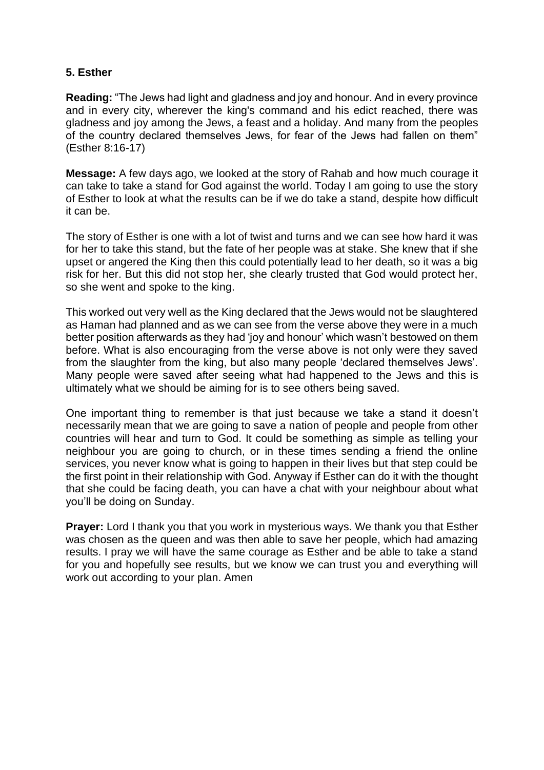# **5. Esther**

**Reading:** "The Jews had light and gladness and joy and honour. And in every province and in every city, wherever the king's command and his edict reached, there was gladness and joy among the Jews, a feast and a holiday. And many from the peoples of the country declared themselves Jews, for fear of the Jews had fallen on them" (Esther 8:16-17)

**Message:** A few days ago, we looked at the story of Rahab and how much courage it can take to take a stand for God against the world. Today I am going to use the story of Esther to look at what the results can be if we do take a stand, despite how difficult it can be.

The story of Esther is one with a lot of twist and turns and we can see how hard it was for her to take this stand, but the fate of her people was at stake. She knew that if she upset or angered the King then this could potentially lead to her death, so it was a big risk for her. But this did not stop her, she clearly trusted that God would protect her, so she went and spoke to the king.

This worked out very well as the King declared that the Jews would not be slaughtered as Haman had planned and as we can see from the verse above they were in a much better position afterwards as they had 'joy and honour' which wasn't bestowed on them before. What is also encouraging from the verse above is not only were they saved from the slaughter from the king, but also many people 'declared themselves Jews'. Many people were saved after seeing what had happened to the Jews and this is ultimately what we should be aiming for is to see others being saved.

One important thing to remember is that just because we take a stand it doesn't necessarily mean that we are going to save a nation of people and people from other countries will hear and turn to God. It could be something as simple as telling your neighbour you are going to church, or in these times sending a friend the online services, you never know what is going to happen in their lives but that step could be the first point in their relationship with God. Anyway if Esther can do it with the thought that she could be facing death, you can have a chat with your neighbour about what you'll be doing on Sunday.

**Prayer:** Lord I thank you that you work in mysterious ways. We thank you that Esther was chosen as the queen and was then able to save her people, which had amazing results. I pray we will have the same courage as Esther and be able to take a stand for you and hopefully see results, but we know we can trust you and everything will work out according to your plan. Amen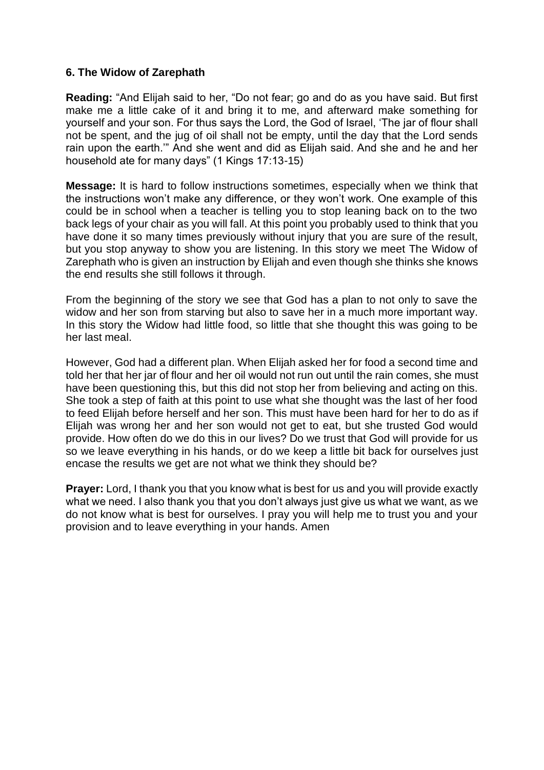## **6. The Widow of Zarephath**

**Reading:** "And Elijah said to her, "Do not fear; go and do as you have said. But first make me a little cake of it and bring it to me, and afterward make something for yourself and your son. For thus says the Lord, the God of Israel, 'The jar of flour shall not be spent, and the jug of oil shall not be empty, until the day that the Lord sends rain upon the earth." And she went and did as Elijah said. And she and he and her household ate for many days" (1 Kings 17:13-15)

**Message:** It is hard to follow instructions sometimes, especially when we think that the instructions won't make any difference, or they won't work. One example of this could be in school when a teacher is telling you to stop leaning back on to the two back legs of your chair as you will fall. At this point you probably used to think that you have done it so many times previously without injury that you are sure of the result, but you stop anyway to show you are listening. In this story we meet The Widow of Zarephath who is given an instruction by Elijah and even though she thinks she knows the end results she still follows it through.

From the beginning of the story we see that God has a plan to not only to save the widow and her son from starving but also to save her in a much more important way. In this story the Widow had little food, so little that she thought this was going to be her last meal.

However, God had a different plan. When Elijah asked her for food a second time and told her that her jar of flour and her oil would not run out until the rain comes, she must have been questioning this, but this did not stop her from believing and acting on this. She took a step of faith at this point to use what she thought was the last of her food to feed Elijah before herself and her son. This must have been hard for her to do as if Elijah was wrong her and her son would not get to eat, but she trusted God would provide. How often do we do this in our lives? Do we trust that God will provide for us so we leave everything in his hands, or do we keep a little bit back for ourselves just encase the results we get are not what we think they should be?

**Prayer:** Lord, I thank you that you know what is best for us and you will provide exactly what we need. I also thank you that you don't always just give us what we want, as we do not know what is best for ourselves. I pray you will help me to trust you and your provision and to leave everything in your hands. Amen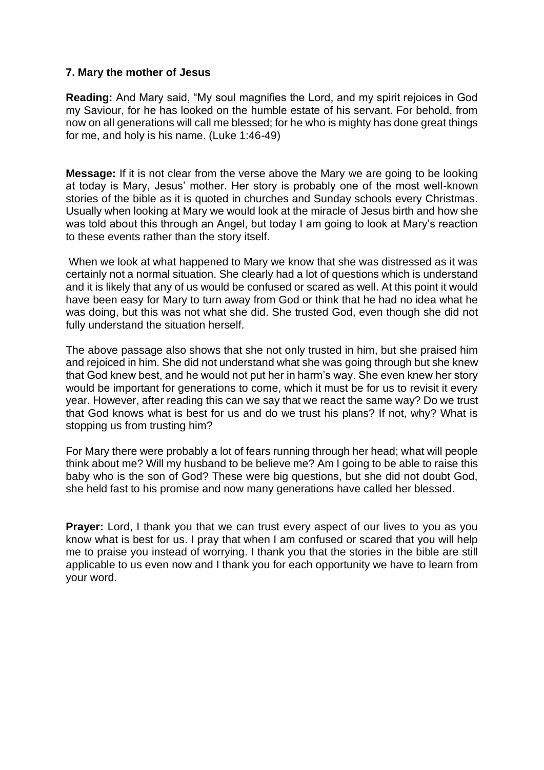## **7. Mary the mother of Jesus**

**Reading:** And Mary said, "My soul magnifies the Lord, and my spirit rejoices in God my Saviour, for he has looked on the humble estate of his servant. For behold, from now on all generations will call me blessed; for he who is mighty has done great things for me, and holy is his name. (Luke 1:46-49)

**Message:** If it is not clear from the verse above the Mary we are going to be looking at today is Mary, Jesus' mother. Her story is probably one of the most well-known stories of the bible as it is quoted in churches and Sunday schools every Christmas. Usually when looking at Mary we would look at the miracle of Jesus birth and how she was told about this through an Angel, but today I am going to look at Mary's reaction to these events rather than the story itself.

When we look at what happened to Mary we know that she was distressed as it was certainly not a normal situation. She clearly had a lot of questions which is understand and it is likely that any of us would be confused or scared as well. At this point it would have been easy for Mary to turn away from God or think that he had no idea what he was doing, but this was not what she did. She trusted God, even though she did not fully understand the situation herself.

The above passage also shows that she not only trusted in him, but she praised him and rejoiced in him. She did not understand what she was going through but she knew that God knew best, and he would not put her in harm's way. She even knew her story would be important for generations to come, which it must be for us to revisit it every year. However, after reading this can we say that we react the same way? Do we trust that God knows what is best for us and do we trust his plans? If not, why? What is stopping us from trusting him?

For Mary there were probably a lot of fears running through her head; what will people think about me? Will my husband to be believe me? Am I going to be able to raise this baby who is the son of God? These were big questions, but she did not doubt God, she held fast to his promise and now many generations have called her blessed.

**Prayer:** Lord, I thank you that we can trust every aspect of our lives to you as you know what is best for us. I pray that when I am confused or scared that you will help me to praise you instead of worrying. I thank you that the stories in the bible are still applicable to us even now and I thank you for each opportunity we have to learn from your word.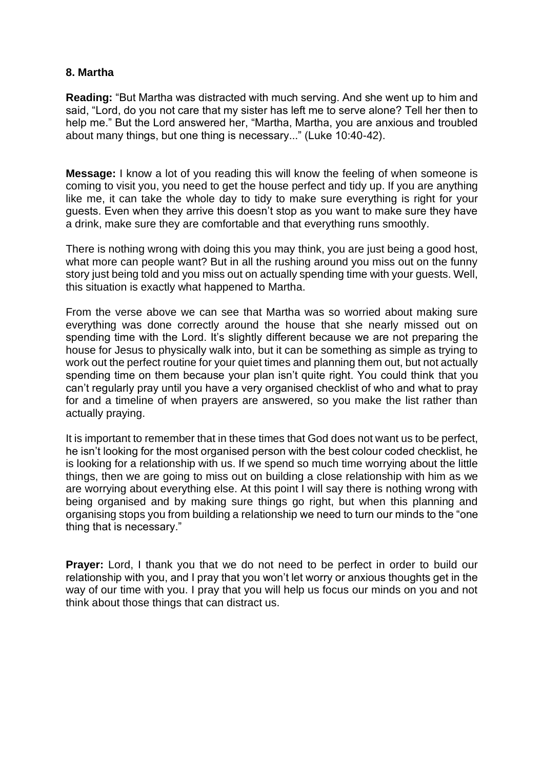## **8. Martha**

**Reading:** "But Martha was distracted with much serving. And she went up to him and said, "Lord, do you not care that my sister has left me to serve alone? Tell her then to help me." But the Lord answered her, "Martha, Martha, you are anxious and troubled about many things, but one thing is necessary..." (Luke 10:40-42).

**Message:** I know a lot of you reading this will know the feeling of when someone is coming to visit you, you need to get the house perfect and tidy up. If you are anything like me, it can take the whole day to tidy to make sure everything is right for your guests. Even when they arrive this doesn't stop as you want to make sure they have a drink, make sure they are comfortable and that everything runs smoothly.

There is nothing wrong with doing this you may think, you are just being a good host, what more can people want? But in all the rushing around you miss out on the funny story just being told and you miss out on actually spending time with your guests. Well, this situation is exactly what happened to Martha.

From the verse above we can see that Martha was so worried about making sure everything was done correctly around the house that she nearly missed out on spending time with the Lord. It's slightly different because we are not preparing the house for Jesus to physically walk into, but it can be something as simple as trying to work out the perfect routine for your quiet times and planning them out, but not actually spending time on them because your plan isn't quite right. You could think that you can't regularly pray until you have a very organised checklist of who and what to pray for and a timeline of when prayers are answered, so you make the list rather than actually praying.

It is important to remember that in these times that God does not want us to be perfect, he isn't looking for the most organised person with the best colour coded checklist, he is looking for a relationship with us. If we spend so much time worrying about the little things, then we are going to miss out on building a close relationship with him as we are worrying about everything else. At this point I will say there is nothing wrong with being organised and by making sure things go right, but when this planning and organising stops you from building a relationship we need to turn our minds to the "one thing that is necessary."

**Prayer:** Lord, I thank you that we do not need to be perfect in order to build our relationship with you, and I pray that you won't let worry or anxious thoughts get in the way of our time with you. I pray that you will help us focus our minds on you and not think about those things that can distract us.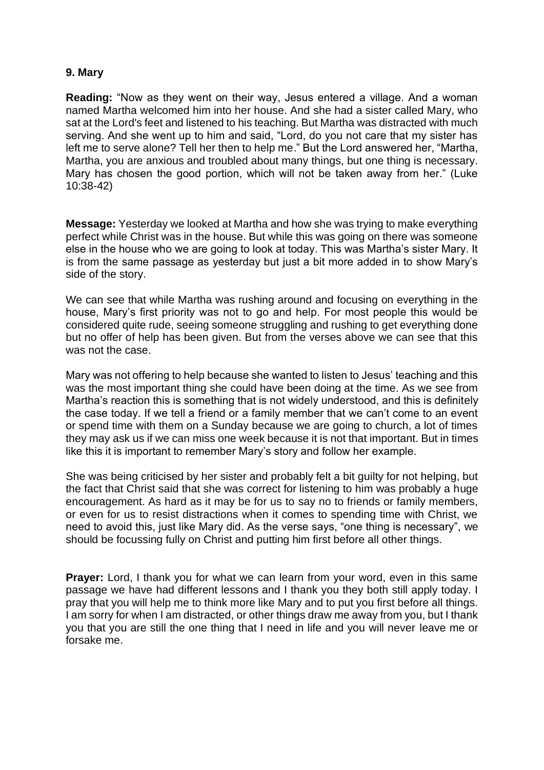## **9. Mary**

**Reading:** "Now as they went on their way, Jesus entered a village. And a woman named Martha welcomed him into her house. And she had a sister called Mary, who sat at the Lord's feet and listened to his teaching. But Martha was distracted with much serving. And she went up to him and said, "Lord, do you not care that my sister has left me to serve alone? Tell her then to help me." But the Lord answered her, "Martha, Martha, you are anxious and troubled about many things, but one thing is necessary. Mary has chosen the good portion, which will not be taken away from her." (Luke 10:38-42)

**Message:** Yesterday we looked at Martha and how she was trying to make everything perfect while Christ was in the house. But while this was going on there was someone else in the house who we are going to look at today. This was Martha's sister Mary. It is from the same passage as yesterday but just a bit more added in to show Mary's side of the story.

We can see that while Martha was rushing around and focusing on everything in the house, Mary's first priority was not to go and help. For most people this would be considered quite rude, seeing someone struggling and rushing to get everything done but no offer of help has been given. But from the verses above we can see that this was not the case.

Mary was not offering to help because she wanted to listen to Jesus' teaching and this was the most important thing she could have been doing at the time. As we see from Martha's reaction this is something that is not widely understood, and this is definitely the case today. If we tell a friend or a family member that we can't come to an event or spend time with them on a Sunday because we are going to church, a lot of times they may ask us if we can miss one week because it is not that important. But in times like this it is important to remember Mary's story and follow her example.

She was being criticised by her sister and probably felt a bit guilty for not helping, but the fact that Christ said that she was correct for listening to him was probably a huge encouragement. As hard as it may be for us to say no to friends or family members, or even for us to resist distractions when it comes to spending time with Christ, we need to avoid this, just like Mary did. As the verse says, "one thing is necessary", we should be focussing fully on Christ and putting him first before all other things.

**Prayer:** Lord, I thank you for what we can learn from your word, even in this same passage we have had different lessons and I thank you they both still apply today. I pray that you will help me to think more like Mary and to put you first before all things. I am sorry for when I am distracted, or other things draw me away from you, but I thank you that you are still the one thing that I need in life and you will never leave me or forsake me.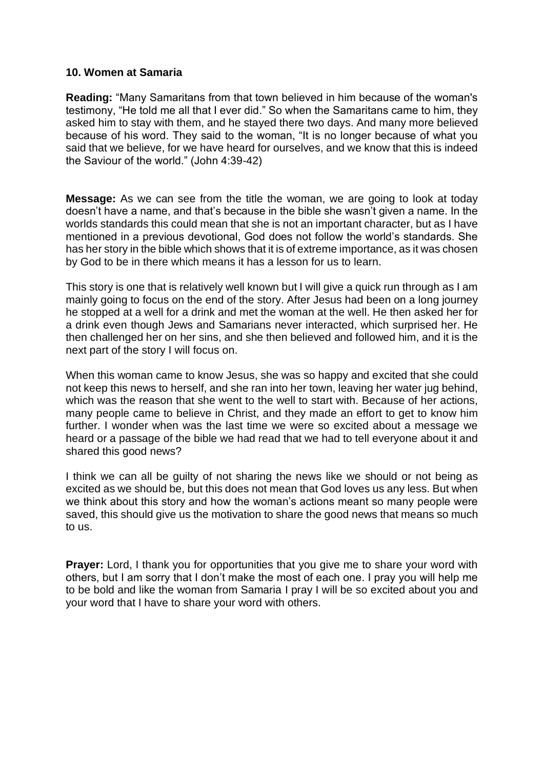## **10. Women at Samaria**

**Reading:** "Many Samaritans from that town believed in him because of the woman's testimony, "He told me all that I ever did." So when the Samaritans came to him, they asked him to stay with them, and he stayed there two days. And many more believed because of his word. They said to the woman, "It is no longer because of what you said that we believe, for we have heard for ourselves, and we know that this is indeed the Saviour of the world." (John 4:39-42)

**Message:** As we can see from the title the woman, we are going to look at today doesn't have a name, and that's because in the bible she wasn't given a name. In the worlds standards this could mean that she is not an important character, but as I have mentioned in a previous devotional, God does not follow the world's standards. She has her story in the bible which shows that it is of extreme importance, as it was chosen by God to be in there which means it has a lesson for us to learn.

This story is one that is relatively well known but I will give a quick run through as I am mainly going to focus on the end of the story. After Jesus had been on a long journey he stopped at a well for a drink and met the woman at the well. He then asked her for a drink even though Jews and Samarians never interacted, which surprised her. He then challenged her on her sins, and she then believed and followed him, and it is the next part of the story I will focus on.

When this woman came to know Jesus, she was so happy and excited that she could not keep this news to herself, and she ran into her town, leaving her water jug behind, which was the reason that she went to the well to start with. Because of her actions, many people came to believe in Christ, and they made an effort to get to know him further. I wonder when was the last time we were so excited about a message we heard or a passage of the bible we had read that we had to tell everyone about it and shared this good news?

I think we can all be guilty of not sharing the news like we should or not being as excited as we should be, but this does not mean that God loves us any less. But when we think about this story and how the woman's actions meant so many people were saved, this should give us the motivation to share the good news that means so much to us.

**Prayer:** Lord, I thank you for opportunities that you give me to share your word with others, but I am sorry that I don't make the most of each one. I pray you will help me to be bold and like the woman from Samaria I pray I will be so excited about you and your word that I have to share your word with others.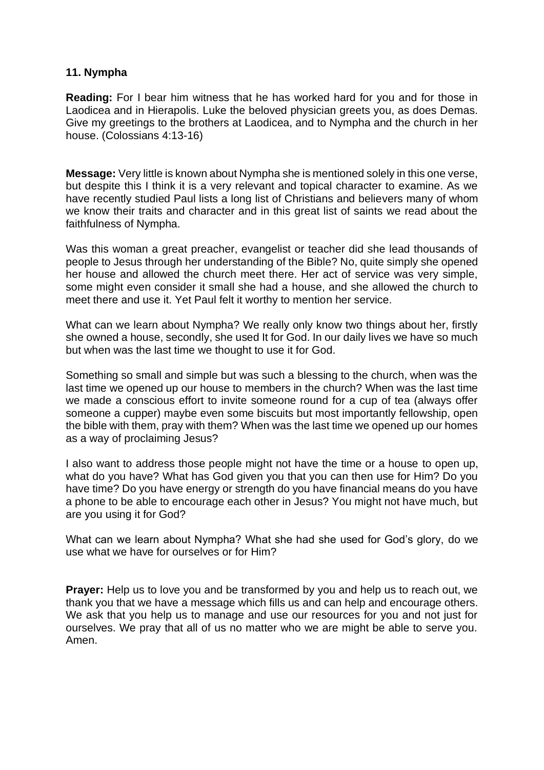## **11. Nympha**

**Reading:** For I bear him witness that he has worked hard for you and for those in Laodicea and in Hierapolis. Luke the beloved physician greets you, as does Demas. Give my greetings to the brothers at Laodicea, and to Nympha and the church in her house. (Colossians 4:13-16)

**Message:** Very little is known about Nympha she is mentioned solely in this one verse, but despite this I think it is a very relevant and topical character to examine. As we have recently studied Paul lists a long list of Christians and believers many of whom we know their traits and character and in this great list of saints we read about the faithfulness of Nympha.

Was this woman a great preacher, evangelist or teacher did she lead thousands of people to Jesus through her understanding of the Bible? No, quite simply she opened her house and allowed the church meet there. Her act of service was very simple, some might even consider it small she had a house, and she allowed the church to meet there and use it. Yet Paul felt it worthy to mention her service.

What can we learn about Nympha? We really only know two things about her, firstly she owned a house, secondly, she used It for God. In our daily lives we have so much but when was the last time we thought to use it for God.

Something so small and simple but was such a blessing to the church, when was the last time we opened up our house to members in the church? When was the last time we made a conscious effort to invite someone round for a cup of tea (always offer someone a cupper) maybe even some biscuits but most importantly fellowship, open the bible with them, pray with them? When was the last time we opened up our homes as a way of proclaiming Jesus?

I also want to address those people might not have the time or a house to open up, what do you have? What has God given you that you can then use for Him? Do you have time? Do you have energy or strength do you have financial means do you have a phone to be able to encourage each other in Jesus? You might not have much, but are you using it for God?

What can we learn about Nympha? What she had she used for God's glory, do we use what we have for ourselves or for Him?

**Prayer:** Help us to love you and be transformed by you and help us to reach out, we thank you that we have a message which fills us and can help and encourage others. We ask that you help us to manage and use our resources for you and not just for ourselves. We pray that all of us no matter who we are might be able to serve you. Amen.